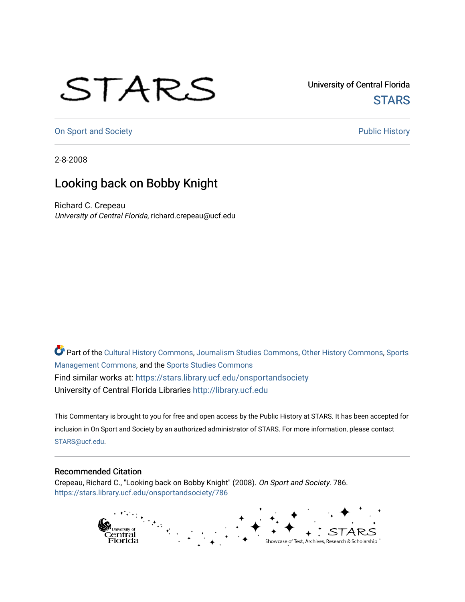## STARS

University of Central Florida **STARS** 

[On Sport and Society](https://stars.library.ucf.edu/onsportandsociety) **Public History** Public History

2-8-2008

## Looking back on Bobby Knight

Richard C. Crepeau University of Central Florida, richard.crepeau@ucf.edu

Part of the [Cultural History Commons](http://network.bepress.com/hgg/discipline/496?utm_source=stars.library.ucf.edu%2Fonsportandsociety%2F786&utm_medium=PDF&utm_campaign=PDFCoverPages), [Journalism Studies Commons,](http://network.bepress.com/hgg/discipline/333?utm_source=stars.library.ucf.edu%2Fonsportandsociety%2F786&utm_medium=PDF&utm_campaign=PDFCoverPages) [Other History Commons,](http://network.bepress.com/hgg/discipline/508?utm_source=stars.library.ucf.edu%2Fonsportandsociety%2F786&utm_medium=PDF&utm_campaign=PDFCoverPages) [Sports](http://network.bepress.com/hgg/discipline/1193?utm_source=stars.library.ucf.edu%2Fonsportandsociety%2F786&utm_medium=PDF&utm_campaign=PDFCoverPages) [Management Commons](http://network.bepress.com/hgg/discipline/1193?utm_source=stars.library.ucf.edu%2Fonsportandsociety%2F786&utm_medium=PDF&utm_campaign=PDFCoverPages), and the [Sports Studies Commons](http://network.bepress.com/hgg/discipline/1198?utm_source=stars.library.ucf.edu%2Fonsportandsociety%2F786&utm_medium=PDF&utm_campaign=PDFCoverPages) Find similar works at: <https://stars.library.ucf.edu/onsportandsociety> University of Central Florida Libraries [http://library.ucf.edu](http://library.ucf.edu/) 

This Commentary is brought to you for free and open access by the Public History at STARS. It has been accepted for inclusion in On Sport and Society by an authorized administrator of STARS. For more information, please contact [STARS@ucf.edu](mailto:STARS@ucf.edu).

## Recommended Citation

Crepeau, Richard C., "Looking back on Bobby Knight" (2008). On Sport and Society. 786. [https://stars.library.ucf.edu/onsportandsociety/786](https://stars.library.ucf.edu/onsportandsociety/786?utm_source=stars.library.ucf.edu%2Fonsportandsociety%2F786&utm_medium=PDF&utm_campaign=PDFCoverPages)

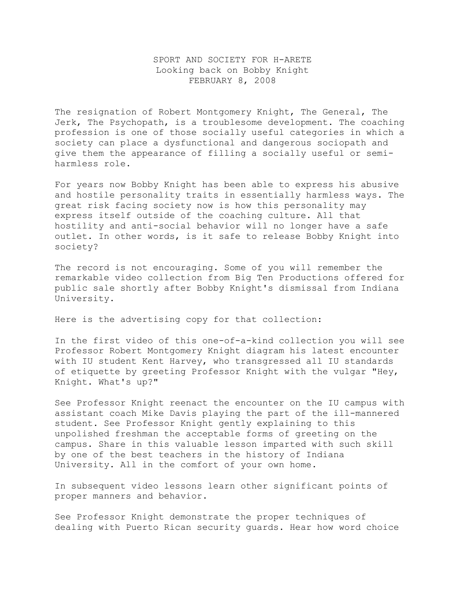## SPORT AND SOCIETY FOR H-ARETE Looking back on Bobby Knight FEBRUARY 8, 2008

The resignation of Robert Montgomery Knight, The General, The Jerk, The Psychopath, is a troublesome development. The coaching profession is one of those socially useful categories in which a society can place a dysfunctional and dangerous sociopath and give them the appearance of filling a socially useful or semiharmless role.

For years now Bobby Knight has been able to express his abusive and hostile personality traits in essentially harmless ways. The great risk facing society now is how this personality may express itself outside of the coaching culture. All that hostility and anti-social behavior will no longer have a safe outlet. In other words, is it safe to release Bobby Knight into society?

The record is not encouraging. Some of you will remember the remarkable video collection from Big Ten Productions offered for public sale shortly after Bobby Knight's dismissal from Indiana University.

Here is the advertising copy for that collection:

In the first video of this one-of-a-kind collection you will see Professor Robert Montgomery Knight diagram his latest encounter with IU student Kent Harvey, who transgressed all IU standards of etiquette by greeting Professor Knight with the vulgar "Hey, Knight. What's up?"

See Professor Knight reenact the encounter on the IU campus with assistant coach Mike Davis playing the part of the ill-mannered student. See Professor Knight gently explaining to this unpolished freshman the acceptable forms of greeting on the campus. Share in this valuable lesson imparted with such skill by one of the best teachers in the history of Indiana University. All in the comfort of your own home.

In subsequent video lessons learn other significant points of proper manners and behavior.

See Professor Knight demonstrate the proper techniques of dealing with Puerto Rican security guards. Hear how word choice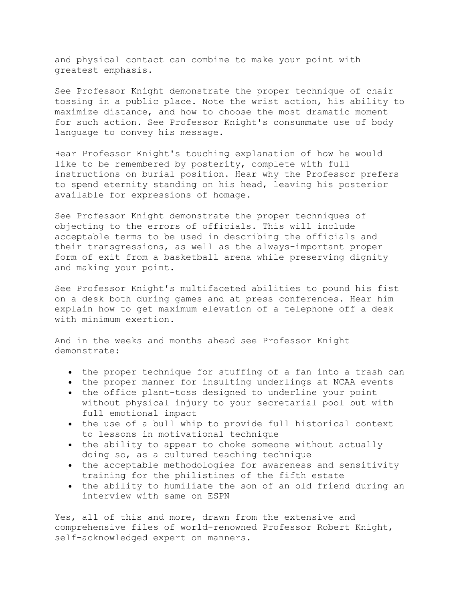and physical contact can combine to make your point with greatest emphasis.

See Professor Knight demonstrate the proper technique of chair tossing in a public place. Note the wrist action, his ability to maximize distance, and how to choose the most dramatic moment for such action. See Professor Knight's consummate use of body language to convey his message.

Hear Professor Knight's touching explanation of how he would like to be remembered by posterity, complete with full instructions on burial position. Hear why the Professor prefers to spend eternity standing on his head, leaving his posterior available for expressions of homage.

See Professor Knight demonstrate the proper techniques of objecting to the errors of officials. This will include acceptable terms to be used in describing the officials and their transgressions, as well as the always-important proper form of exit from a basketball arena while preserving dignity and making your point.

See Professor Knight's multifaceted abilities to pound his fist on a desk both during games and at press conferences. Hear him explain how to get maximum elevation of a telephone off a desk with minimum exertion.

And in the weeks and months ahead see Professor Knight demonstrate:

- the proper technique for stuffing of a fan into a trash can
- the proper manner for insulting underlings at NCAA events
- the office plant-toss designed to underline your point without physical injury to your secretarial pool but with full emotional impact
- the use of a bull whip to provide full historical context to lessons in motivational technique
- the ability to appear to choke someone without actually doing so, as a cultured teaching technique
- the acceptable methodologies for awareness and sensitivity training for the philistines of the fifth estate
- the ability to humiliate the son of an old friend during an interview with same on ESPN

Yes, all of this and more, drawn from the extensive and comprehensive files of world-renowned Professor Robert Knight, self-acknowledged expert on manners.